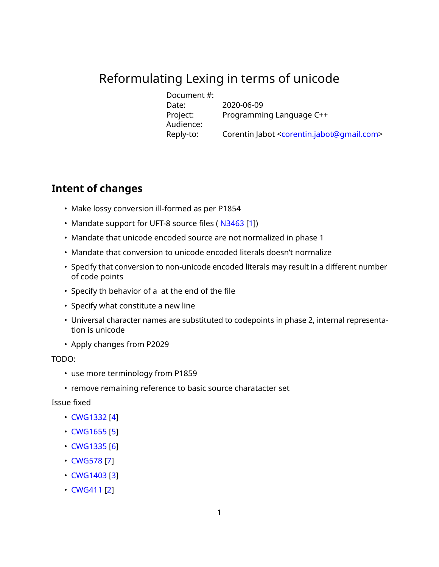# Reformulating Lexing in terms of unicode

Document #: Date: 2020-06-09<br>Project: Programmi Audience:<br>Reply-to:

Programming Language C++

Reply-to: Corentin Jabot [<corentin.jabot@gmail.com>](mailto:corentin.jabot@gmail.com)

## **Intent of changes**

- Make lossy conversion ill-formed as per P1854
- Mandate support for UFT-8 source files ( [N3463](https://wg21.link/N3463) [\[1\]](#page-27-0))
- Mandate that unicode encoded source are not normalized in phase 1
- Mandate that conversion to unicode encoded literals doesn't normalize
- Specify that conversion to non-unicode encoded literals may result in a different number of code points
- Specify th behavior of a at the end of the file
- Specify what constitute a new line
- Universal character names are substituted to codepoints in phase 2, internal representation is unicode
- Apply changes from P2029

### TODO:

- use more terminology from P1859
- remove remaining reference to basic source charatacter set

### Issue fixed

- [CWG1332](https://wg21.link/CWG1332) [\[4\]](#page-27-1)
- [CWG1655](https://wg21.link/CWG1655) [\[5\]](#page-27-2)
- [CWG1335](https://wg21.link/CWG1335) [\[6\]](#page-27-3)
- [CWG578](https://wg21.link/CWG578) [\[7\]](#page-28-0)
- [CWG1403](https://wg21.link/CWG1403) [\[3\]](#page-27-4)
- [CWG411](https://wg21.link/CWG411) [\[2\]](#page-27-5)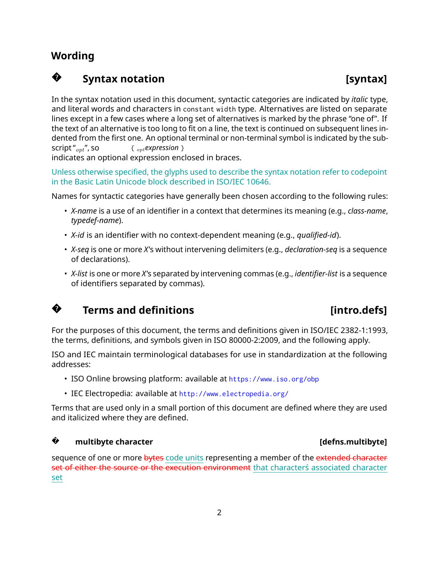# **Wording**

### **?**Syntax notation **contact in the syntax** [syntax]

In the syntax notation used in this document, syntactic categories are indicated by *italic* type, and literal words and characters in constant width type. Alternatives are listed on separate lines except in a few cases where a long set of alternatives is marked by the phrase "one of". If the text of an alternative is too long to fit on a line, the text is continued on subsequent lines indented from the first one. An optional terminal or non-terminal symbol is indicated by the sub-<br>script " $_{opt}$ ", so  $\{$   $_{opt}$ ",  $\{$   $_{opt}$ ",  $\}$ script "*opt*", so { *optexpression* }

indicates an optional expression enclosed in braces.

Unless otherwise specified, the glyphs used to describe the syntax notation refer to codepoint in the Basic Latin Unicode block described in ISO/IEC 10646.

Names for syntactic categories have generally been chosen according to the following rules:

- *X-name* is a use of an identifier in a context that determines its meaning (e.g., *class-name*, *typedef-name*).
- *X-id* is an identifier with no context-dependent meaning (e.g., *qualified-id*).
- *X-seq* is one or more *X*'s without intervening delimiters (e.g., *declaration-seq* is a sequence of declarations).
- *X-list* is one or more *X*'s separated by intervening commas (e.g., *identifier-list* is a sequence of identifiers separated by commas).

### **?Terms and definitions in the contract of the contract of the contract of the contract of the contract of the contract of the contract of the contract of the contract of the contract of the contract of the contract of the**

### For the purposes of this document, the terms and definitions given in ISO/IEC 2382-1:1993, the terms, definitions, and symbols given in ISO 80000-2:2009, and the following apply.

ISO and IEC maintain terminological databases for use in standardization at the following addresses:

- ISO Online browsing platform: available at <https://www.iso.org/obp>
- IEC Electropedia: available at <http://www.electropedia.org/>

Terms that are used only in a small portion of this document are defined where they are used and italicized where they are defined.

### **? multibyte character [defns.multibyte]**

sequence of one or more bytes code units representing a member of the extended character set of either the source or the execution environment that characters associated character set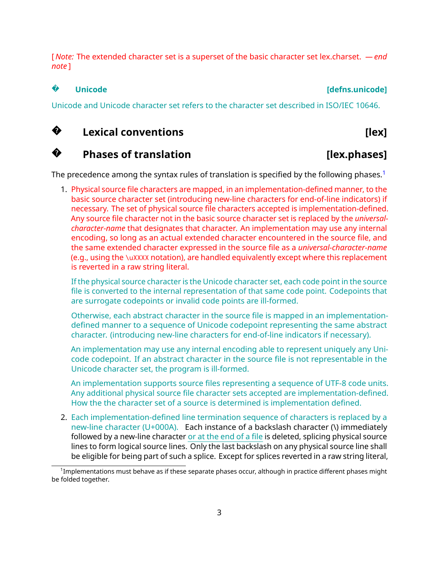[ *Note:* The extended character set is a superset of the basic character set lex.charset. *— end note* ]

### **?**

**?**

**Unicode [defns.unicode]**

Unicode and Unicode character set refers to the character set described in ISO/IEC 10646.

### **?Lexical conventions conventions lexical**

# **Phases of translation** [lex.phases]

The precedence among the syntax rules of translation is specified by the following phases.<sup>[1](#page-2-0)</sup>

1. Physical source file characters are mapped, in an implementation-defined manner, to the basic source character set (introducing new-line characters for end-of-line indicators) if necessary. The set of physical source file characters accepted is implementation-defined. Any source file character not in the basic source character set is replaced by the *universalcharacter-name* that designates that character. An implementation may use any internal encoding, so long as an actual extended character encountered in the source file, and the same extended character expressed in the source file as a *universal-character-name* (e.g., using the \uXXXX notation), are handled equivalently except where this replacement is reverted in a raw string literal.

If the physical source character is the Unicode character set, each code point in the source file is converted to the internal representation of that same code point. Codepoints that are surrogate codepoints or invalid code points are ill-formed.

Otherwise, each abstract character in the source file is mapped in an implementationdefined manner to a sequence of Unicode codepoint representing the same abstract character. (introducing new-line characters for end-of-line indicators if necessary).

An implementation may use any internal encoding able to represent uniquely any Unicode codepoint. If an abstract character in the source file is not representable in the Unicode character set, the program is ill-formed.

An implementation supports source files representing a sequence of UTF-8 code units. Any additional physical source file character sets accepted are implementation-defined. How the the character set of a source is determined is implementation defined.

2. Each implementation-defined line termination sequence of characters is replaced by a new-line character (U+000A). Each instance of a backslash character (\) immediately followed by a new-line character or at the end of a file is deleted, splicing physical source lines to form logical source lines. Only the last backslash on any physical source line shall be eligible for being part of such a splice. Except for splices reverted in a raw string literal,

<span id="page-2-0"></span> $^{\rm 1}$ Implementations must behave as if these separate phases occur, although in practice different phases might be folded together.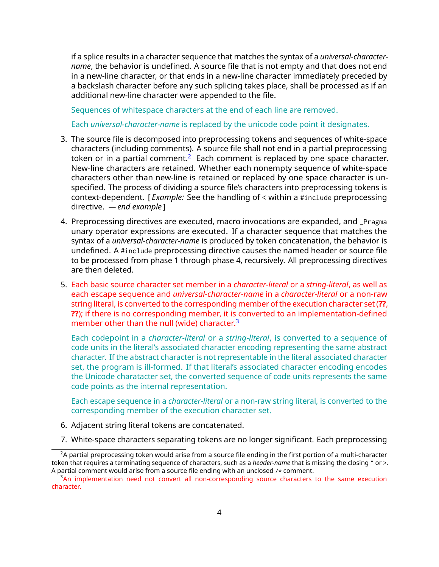if a splice results in a character sequence that matches the syntax of a *universal-charactername*, the behavior is undefined. A source file that is not empty and that does not end in a new-line character, or that ends in a new-line character immediately preceded by a backslash character before any such splicing takes place, shall be processed as if an additional new-line character were appended to the file.

Sequences of whitespace characters at the end of each line are removed.

Each *universal-character-name* is replaced by the unicode code point it designates.

- 3. The source file is decomposed into preprocessing tokens and sequences of white-space characters (including comments). A source file shall not end in a partial preprocessing token or in a partial comment.<sup>[2](#page-3-0)</sup> Each comment is replaced by one space character. New-line characters are retained. Whether each nonempty sequence of white-space characters other than new-line is retained or replaced by one space character is unspecified. The process of dividing a source file's characters into preprocessing tokens is context-dependent. [ *Example:* See the handling of < within a #include preprocessing directive. *— end example* ]
- 4. Preprocessing directives are executed, macro invocations are expanded, and \_Pragma unary operator expressions are executed. If a character sequence that matches the syntax of a *universal-character-name* is produced by token concatenation, the behavior is undefined. A #include preprocessing directive causes the named header or source file to be processed from phase 1 through phase 4, recursively. All preprocessing directives are then deleted.
- 5. Each basic source character set member in a *character-literal* or a *string-literal*, as well as each escape sequence and *universal-character-name* in a *character-literal* or a non-raw string literal, is converted to the corresponding member of the execution character set (**??**, **??**); if there is no corresponding member, it is converted to an implementation-defined member other than the null (wide) character. $3$

Each codepoint in a *character-literal* or a *string-literal*, is converted to a sequence of code units in the literal's associated character encoding representing the same abstract character. If the abstract character is not representable in the literal associated character set, the program is ill-formed. If that literal's associated character encoding encodes the Unicode charatacter set, the converted sequence of code units represents the same code points as the internal representation.

Each escape sequence in a *character-literal* or a non-raw string literal, is converted to the corresponding member of the execution character set.

- 6. Adjacent string literal tokens are concatenated.
- 7. White-space characters separating tokens are no longer significant. Each preprocessing

<span id="page-3-0"></span> $2A$  partial preprocessing token would arise from a source file ending in the first portion of a multi-character token that requires a terminating sequence of characters, such as a *header-name* that is missing the closing " or >. A partial comment would arise from a source file ending with an unclosed /\* comment.

<span id="page-3-1"></span><sup>&</sup>lt;sup>3</sup>An implementation need not convert all non-corresponding source characters to the same execution character.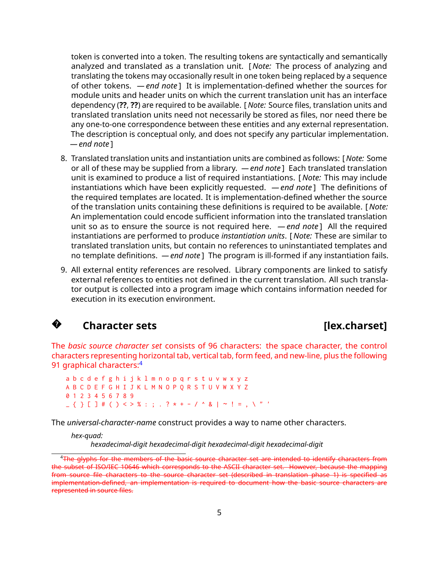token is converted into a token. The resulting tokens are syntactically and semantically analyzed and translated as a translation unit. [ *Note:* The process of analyzing and translating the tokens may occasionally result in one token being replaced by a sequence of other tokens. *— end note* ] It is implementation-defined whether the sources for module units and header units on which the current translation unit has an interface dependency (**??**, **??**) are required to be available. [ *Note:* Source files, translation units and translated translation units need not necessarily be stored as files, nor need there be any one-to-one correspondence between these entities and any external representation. The description is conceptual only, and does not specify any particular implementation. *— end note* ]

- 8. Translated translation units and instantiation units are combined as follows: [ *Note:* Some or all of these may be supplied from a library. *— end note* ] Each translated translation unit is examined to produce a list of required instantiations. [ *Note:* This may include instantiations which have been explicitly requested. *— end note* ] The definitions of the required templates are located. It is implementation-defined whether the source of the translation units containing these definitions is required to be available. [ *Note:* An implementation could encode sufficient information into the translated translation unit so as to ensure the source is not required here. *— end note* ] All the required instantiations are performed to produce *instantiation units*. [ *Note:* These are similar to translated translation units, but contain no references to uninstantiated templates and no template definitions. *— end note* ] The program is ill-formed if any instantiation fails.
- 9. All external entity references are resolved. Library components are linked to satisfy external references to entities not defined in the current translation. All such translator output is collected into a program image which contains information needed for execution in its execution environment.

### **?Character sets character sets** *llex.charset***]**

The *basic source character set* consists of 96 characters: the space character, the control characters representing horizontal tab, vertical tab, form feed, and new-line, plus the following 91 graphical characters:[4](#page-4-0)

a b c d e f g h i j k l m n o p q r s t u v w x y z A B C D E F G H I J K L M N O P Q R S T U V W X Y Z 0 1 2 3 4 5 6 7 8 9  $\bot$  { } [ ] # ( ) < > % : ; . ? \* + - / ^ & | ~ ! = , \ " '

The *universal-character-name* construct provides a way to name other characters.

*hex-quad:*

*hexadecimal-digit hexadecimal-digit hexadecimal-digit hexadecimal-digit*

<span id="page-4-0"></span><sup>4</sup> The glyphs for the members of the basic source character set are intended to identify characters from the subset of ISO/IEC 10646 which corresponds to the ASCII character set. However, because the mapping from source file characters to the source character set (described in translation phase 1) is specified as implementation-defined, an implementation is required to document how the basic source characters are represented in source files.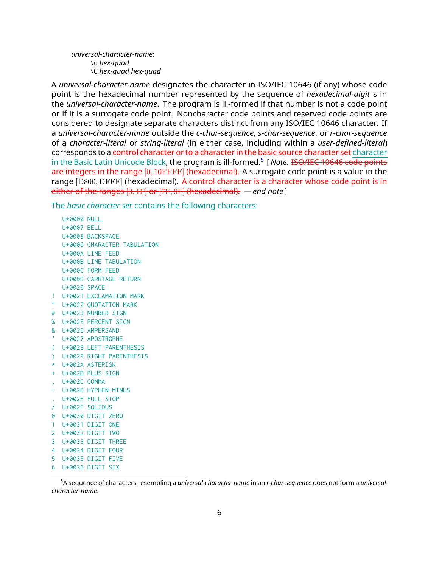*universal-character-name:* \u *hex-quad* \U *hex-quad hex-quad*

A *universal-character-name* designates the character in ISO/IEC 10646 (if any) whose code point is the hexadecimal number represented by the sequence of *hexadecimal-digit* s in the *universal-character-name*. The program is ill-formed if that number is not a code point or if it is a surrogate code point. Noncharacter code points and reserved code points are considered to designate separate characters distinct from any ISO/IEC 10646 character. If a *universal-character-name* outside the *c-char-sequence*, *s-char-sequence*, or *r-char-sequence* of a *character-literal* or *string-literal* (in either case, including within a *user-defined-literal*) corresponds to a control character or to a character in the basic source character set character in the Basic Latin Unicode Block, the program is ill-formed.<sup>[5](#page-5-0)</sup>【Note: <del>ISO/IEC 10646 code points</del> are integers in the range [0*,* 10FFFF] (hexadecimal). A surrogate code point is a value in the range [D800*,* DFFF] (hexadecimal). A control character is a character whose code point is in either of the ranges [0*,* 1F] or [7F*,* 9F] (hexadecimal). *— end note* ]

The *basic character set* contains the following characters:

U+0000 NULL U+0007 BELL U+0008 BACKSPACE U+0009 CHARACTER TABULATION U+000A LINE FEED U+000B LINE TABULATION U+000C FORM FEED U+000D CARRIAGE RETURN U+0020 SPACE ! U+0021 EXCLAMATION MARK " U+0022 QUOTATION MARK # U+0023 NUMBER SIGN % U+0025 PERCENT SIGN & U+0026 AMPERSAND ' U+0027 APOSTROPHE ( U+0028 LEFT PARENTHESIS ) U+0029 RIGHT PARENTHESIS \* U+002A ASTERISK + U+002B PLUS SIGN , U+002C COMMA - U+002D HYPHEN-MINUS . U+002E FULL STOP / U+002F SOLIDUS 0 U+0030 DIGIT ZERO 1 U+0031 DIGIT ONE 2 U+0032 DIGIT TWO 3 U+0033 DIGIT THREE 4 U+0034 DIGIT FOUR 5 U+0035 DIGIT FIVE 6 U+0036 DIGIT SIX

<span id="page-5-0"></span><sup>5</sup>A sequence of characters resembling a *universal-character-name* in an *r-char-sequence* does not form a *universalcharacter-name*.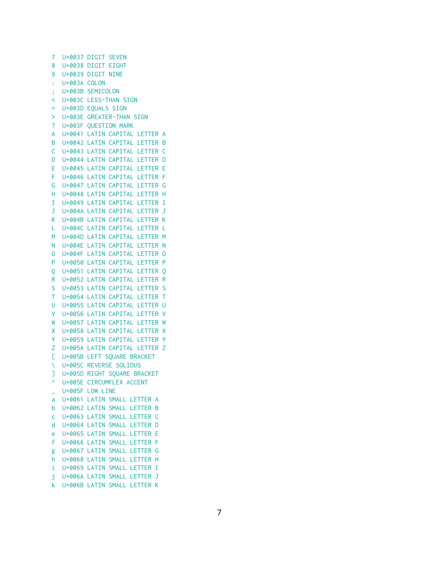```
7 U+0037 DIGIT SEVEN
8 U+0038 DIGIT EIGHT
9 U+0039 DIGIT NINE
: U+003A COLON
; U+003B SEMICOLON
< U+003C LESS-THAN SIGN
= U+003D EQUALS SIGN
> U+003E GREATER-THAN SIGN
? U+003F QUESTION MARK
A U+0041 LATIN CAPITAL LETTER A
B U+0042 LATIN CAPITAL LETTER B
C U+0043 LATIN CAPITAL LETTER C
D U+0044 LATIN CAPITAL LETTER D
E U+0045 LATIN CAPITAL LETTER E
F U+0046 LATIN CAPITAL LETTER F
G U+0047 LATIN CAPITAL LETTER G
H U+0048 LATIN CAPITAL LETTER H
I U+0049 LATIN CAPITAL LETTER I
J U+004A LATIN CAPITAL LETTER J
K U+004B LATIN CAPITAL LETTER K
L U+004C LATIN CAPITAL LETTER L
M U+004D LATIN CAPITAL LETTER M
N U+004E LATIN CAPITAL LETTER N
O U+004F LATIN CAPITAL LETTER O
P U+0050 LATIN CAPITAL LETTER P
Q U+0051 LATIN CAPITAL LETTER Q
R U+0052 LATIN CAPITAL LETTER R
S U+0053 LATIN CAPITAL LETTER S
T U+0054 LATIN CAPITAL LETTER T
U U+0055 LATIN CAPITAL LETTER U
V U+0056 LATIN CAPITAL LETTER V
W U+0057 LATIN CAPITAL LETTER W
X U+0058 LATIN CAPITAL LETTER X
Y U+0059 LATIN CAPITAL LETTER Y
Z U+005A LATIN CAPITAL LETTER Z
[ U+005B LEFT SQUARE BRACKET
\ U+005C REVERSE SOLIDUS
] U+005D RIGHT SQUARE BRACKET
  U+005E CIRCUMFLEX ACCENT
_ U+005F LOW LINE
a U+0061 LATIN SMALL LETTER A
b U+0062 LATIN SMALL LETTER B
c U+0063 LATIN SMALL LETTER C
d U+0064 LATIN SMALL LETTER D
e U+0065 LATIN SMALL LETTER E
f U+0066 LATIN SMALL LETTER F
g U+0067 LATIN SMALL LETTER G
h U+0068 LATIN SMALL LETTER H
i U+0069 LATIN SMALL LETTER I
j U+006A LATIN SMALL LETTER J
k U+006B LATIN SMALL LETTER K
```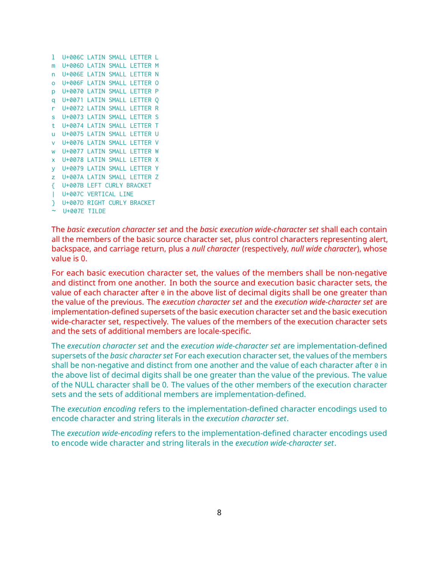l U+006C LATIN SMALL LETTER L m U+006D LATIN SMALL LETTER M n U+006E LATIN SMALL LETTER N o U+006F LATIN SMALL LETTER O p U+0070 LATIN SMALL LETTER P q U+0071 LATIN SMALL LETTER Q r U+0072 LATIN SMALL LETTER R s U+0073 LATIN SMALL LETTER S t U+0074 LATIN SMALL LETTER T u U+0075 LATIN SMALL LETTER U v U+0076 LATIN SMALL LETTER V w U+0077 LATIN SMALL LETTER W x U+0078 LATIN SMALL LETTER X y U+0079 LATIN SMALL LETTER Y z U+007A LATIN SMALL LETTER Z { U+007B LEFT CURLY BRACKET | U+007C VERTICAL LINE } U+007D RIGHT CURLY BRACKET  $\sim$  U+007E TILDE

The *basic execution character set* and the *basic execution wide-character set* shall each contain all the members of the basic source character set, plus control characters representing alert, backspace, and carriage return, plus a *null character* (respectively, *null wide character*), whose value is 0.

For each basic execution character set, the values of the members shall be non-negative and distinct from one another. In both the source and execution basic character sets, the value of each character after  $\theta$  in the above list of decimal digits shall be one greater than the value of the previous. The *execution character set* and the *execution wide-character set* are implementation-defined supersets of the basic execution character set and the basic execution wide-character set, respectively. The values of the members of the execution character sets and the sets of additional members are locale-specific.

The *execution character set* and the *execution wide-character set* are implementation-defined supersets of the *basic character set* For each execution character set, the values of the members shall be non-negative and distinct from one another and the value of each character after 0 in the above list of decimal digits shall be one greater than the value of the previous. The value of the NULL character shall be 0. The values of the other members of the execution character sets and the sets of additional members are implementation-defined.

The *execution encoding* refers to the implementation-defined character encodings used to encode character and string literals in the *execution character set*.

The *execution wide-encoding* refers to the implementation-defined character encodings used to encode wide character and string literals in the *execution wide-character set*.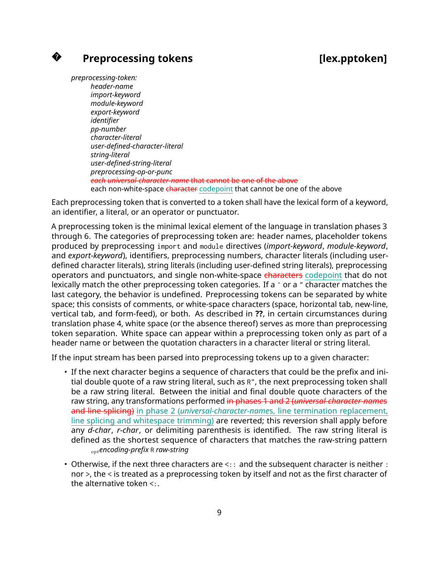# **Preprocessing tokens** [lex.pptoken]

**?**

*preprocessing-token: header-name import-keyword module-keyword export-keyword identifier pp-number character-literal user-defined-character-literal string-literal user-defined-string-literal preprocessing-op-or-punc each universal-character-name* that cannot be one of the above each non-white-space character codepoint that cannot be one of the above

Each preprocessing token that is converted to a token shall have the lexical form of a keyword, an identifier, a literal, or an operator or punctuator.

A preprocessing token is the minimal lexical element of the language in translation phases 3 through 6. The categories of preprocessing token are: header names, placeholder tokens produced by preprocessing import and module directives (*import-keyword*, *module-keyword*, and *export-keyword*), identifiers, preprocessing numbers, character literals (including userdefined character literals), string literals (including user-defined string literals), preprocessing operators and punctuators, and single non-white-space characters codepoint that do not lexically match the other preprocessing token categories. If a ' or a " character matches the last category, the behavior is undefined. Preprocessing tokens can be separated by white space; this consists of comments, or white-space characters (space, horizontal tab, new-line, vertical tab, and form-feed), or both. As described in **??**, in certain circumstances during translation phase 4, white space (or the absence thereof) serves as more than preprocessing token separation. White space can appear within a preprocessing token only as part of a header name or between the quotation characters in a character literal or string literal.

If the input stream has been parsed into preprocessing tokens up to a given character:

- If the next character begins a sequence of characters that could be the prefix and initial double quote of a raw string literal, such as R", the next preprocessing token shall be a raw string literal. Between the initial and final double quote characters of the raw string, any transformations performed in phases 1 and 2 (*universal-character-name*s and line splicing) in phase 2 (*universal-character-name*s, line termination replacement, line splicing and whitespace trimming) are reverted; this reversion shall apply before any *d-char*, *r-char*, or delimiting parenthesis is identified. The raw string literal is defined as the shortest sequence of characters that matches the raw-string pattern *optencoding-prefix* R *raw-string*
- Otherwise, if the next three characters are <:: and the subsequent character is neither : nor >, the < is treated as a preprocessing token by itself and not as the first character of the alternative token <:.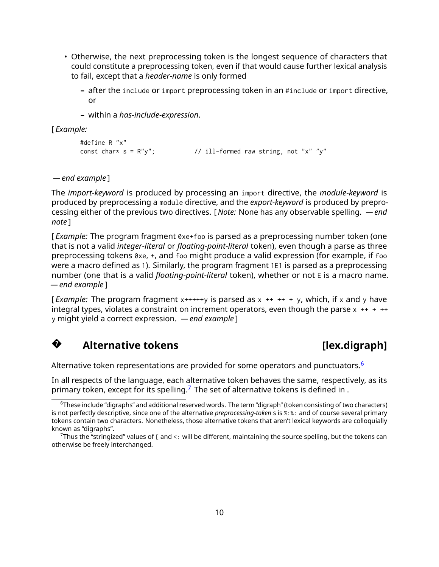- Otherwise, the next preprocessing token is the longest sequence of characters that could constitute a preprocessing token, even if that would cause further lexical analysis to fail, except that a *header-name* is only formed
	- **–** after the include or import preprocessing token in an #include or import directive, or
	- **–** within a *has-include-expression*.

[ *Example:*

```
#define R "x"
const char* s = R''y''; \frac{11-\text{formed raw string}}{\text{A}}, not "x" "y"
```
*— end example* ]

The *import-keyword* is produced by processing an import directive, the *module-keyword* is produced by preprocessing a module directive, and the *export-keyword* is produced by preprocessing either of the previous two directives. [ *Note:* None has any observable spelling. *— end note* ]

[ *Example:* The program fragment 0xe+foo is parsed as a preprocessing number token (one that is not a valid *integer-literal* or *floating-point-literal* token), even though a parse as three preprocessing tokens 0xe, +, and foo might produce a valid expression (for example, if foo were a macro defined as 1). Similarly, the program fragment 1E1 is parsed as a preprocessing number (one that is a valid *floating-point-literal* token), whether or not E is a macro name. *— end example* ]

[*Example:* The program fragment  $x$ +++++ $y$  is parsed as  $x + 1 + y$ , which, if x and y have integral types, violates a constraint on increment operators, even though the parse  $x + + +$ y might yield a correct expression. *— end example* ]

### **?**Alternative tokens **and alternative to the set of the set of the set of the set of the set of the set of the set o**

Alternative token representations are provided for some operators and punctuators. $6$ 

In all respects of the language, each alternative token behaves the same, respectively, as its primary token, except for its spelling.<sup>[7](#page-9-1)</sup> The set of alternative tokens is defined in .

<span id="page-9-0"></span> $^6$ These include "digraphs" and additional reserved words. The term "digraph" (token consisting of two characters) is not perfectly descriptive, since one of the alternative *preprocessing-token* s is %:%: and of course several primary tokens contain two characters. Nonetheless, those alternative tokens that aren't lexical keywords are colloquially known as "digraphs".

<span id="page-9-1"></span> $^7$ Thus the "stringized" values of [ and < $\cdot$  will be different, maintaining the source spelling, but the tokens can otherwise be freely interchanged.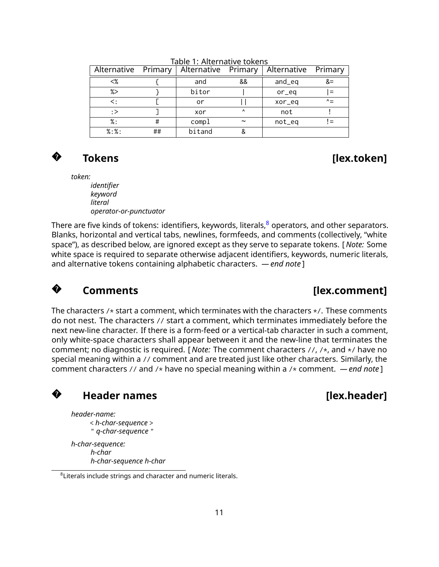| Alternative Primary |    | Alternative Primary |                       | Alternative Primary |              |
|---------------------|----|---------------------|-----------------------|---------------------|--------------|
| <%                  |    | and                 | &&                    | and_eq              | &=           |
| %>                  |    | bitor               |                       | $or_{eq}$           | $=$          |
| <:                  |    | or                  |                       | xor_eq              | $\wedge$ $-$ |
| :                   |    | xor                 | $\wedge$              | not                 |              |
| $\%$ :              | #  | compl               | $\tilde{\phantom{a}}$ | not_eq              | l =          |
| $%$ :%:             | ## | bitand              | &                     |                     |              |

Table 1: Alternative tokens



# **Tokens [lex.token]**

*token: identifier keyword literal operator-or-punctuator*

There are five kinds of tokens: identifiers, keywords, literals, $8$  operators, and other separators. Blanks, horizontal and vertical tabs, newlines, formfeeds, and comments (collectively, "white space"), as described below, are ignored except as they serve to separate tokens. [ *Note:* Some white space is required to separate otherwise adjacent identifiers, keywords, numeric literals, and alternative tokens containing alphabetic characters. *— end note* ]



# **Comments [lex.comment]**

The characters / $*$  start a comment, which terminates with the characters  $*$  /. These comments do not nest. The characters // start a comment, which terminates immediately before the next new-line character. If there is a form-feed or a vertical-tab character in such a comment, only white-space characters shall appear between it and the new-line that terminates the comment; no diagnostic is required. [ *Note:* The comment characters //, /\*, and \*/ have no special meaning within a // comment and are treated just like other characters. Similarly, the comment characters // and /\* have no special meaning within a /\* comment. *— end note* ]



## **Header names** [lex.header]

*header-name:* < *h-char-sequence* > " *q-char-sequence* "

*h-char-sequence: h-char h-char-sequence h-char*

<span id="page-10-0"></span> ${}^{8}$ Literals include strings and character and numeric literals.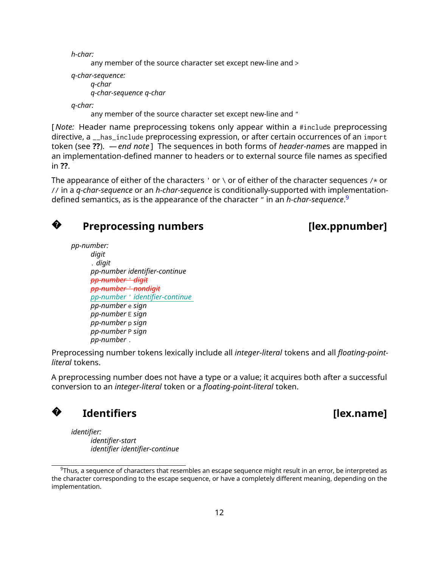*h-char:*

any member of the source character set except new-line and >

```
q-char-sequence:
     q-char
     q-char-sequence q-char
```
*q-char:*

any member of the source character set except new-line and "

[ *Note:* Header name preprocessing tokens only appear within a #include preprocessing directive, a \_\_has\_include preprocessing expression, or after certain occurrences of an import token (see **??**). *— end note* ] The sequences in both forms of *header-name*s are mapped in an implementation-defined manner to headers or to external source file names as specified in **??**.

The appearance of either of the characters ' or  $\setminus$  or of either of the character sequences /\* or // in a *q-char-sequence* or an *h-char-sequence* is conditionally-supported with implementationdefined semantics, as is the appearance of the character " in an *h-char-sequence*. [9](#page-11-0)



## **Preprocessing numbers [lex.ppnumber]**

*pp-number: digit* . *digit pp-number identifier-continue pp-number* ' *digit pp-number* ' *nondigit pp-number* ' *identifier-continue pp-number* e *sign pp-number* E *sign pp-number* p *sign pp-number* P *sign pp-number* .

Preprocessing number tokens lexically include all *integer-literal* tokens and all *floating-pointliteral* tokens.

A preprocessing number does not have a type or a value; it acquires both after a successful conversion to an *integer-literal* token or a *floating-point-literal* token.



## **Identifiers [lex.name]**

*identifier: identifier-start identifier identifier-continue*

<span id="page-11-0"></span> $^9$ Thus, a sequence of characters that resembles an escape sequence might result in an error, be interpreted as the character corresponding to the escape sequence, or have a completely different meaning, depending on the implementation.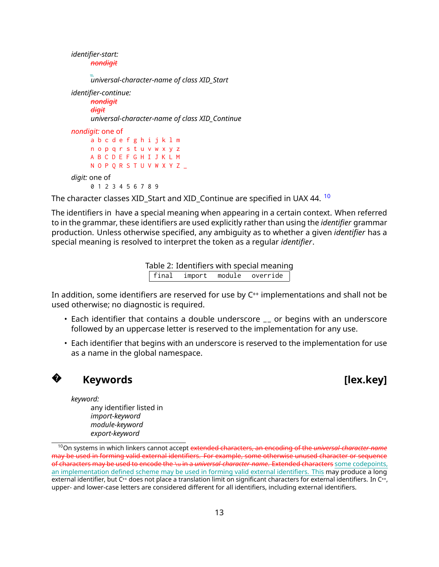| <i>identifier-start:</i><br>nondigit                                                               |                           |  |  |  |  |                                             |  |
|----------------------------------------------------------------------------------------------------|---------------------------|--|--|--|--|---------------------------------------------|--|
|                                                                                                    |                           |  |  |  |  | universal-character-name of class XID_Start |  |
| <i>identifier-continue:</i><br>nondigit<br>digit<br>universal-character-name of class XID_Continue |                           |  |  |  |  |                                             |  |
| <i>nondigit:</i> one of                                                                            |                           |  |  |  |  |                                             |  |
|                                                                                                    | abcdefghijklm             |  |  |  |  |                                             |  |
|                                                                                                    | nopqrstuvwxyz             |  |  |  |  |                                             |  |
|                                                                                                    | A B C D F F G H T J K I M |  |  |  |  |                                             |  |
|                                                                                                    | NOPORSTUVWXYZ_            |  |  |  |  |                                             |  |
| digit: one of                                                                                      |                           |  |  |  |  |                                             |  |
|                                                                                                    | 1 2 3 4 5 6 7 8 9         |  |  |  |  |                                             |  |

The character classes XID\_Start and XID\_Continue are specified in UAX 44. <sup>[10](#page-12-0)</sup>

The identifiers in have a special meaning when appearing in a certain context. When referred to in the grammar, these identifiers are used explicitly rather than using the *identifier* grammar production. Unless otherwise specified, any ambiguity as to whether a given *identifier* has a special meaning is resolved to interpret the token as a regular *identifier*.

> Table 2: Identifiers with special meaning final import module override

In addition, some identifiers are reserved for use by  $C^{++}$  implementations and shall not be used otherwise; no diagnostic is required.

- Each identifier that contains a double underscore \_\_ or begins with an underscore followed by an uppercase letter is reserved to the implementation for any use.
- Each identifier that begins with an underscore is reserved to the implementation for use as a name in the global namespace.



# **Keywords [lex.key]**

*keyword:* any identifier listed in *import-keyword module-keyword export-keyword*

<span id="page-12-0"></span><sup>10</sup>On systems in which linkers cannot accept extended characters, an encoding of the *universal-character-name* may be used in forming valid external identifiers. For example, some otherwise unused character or sequence of characters may be used to encode the \u in a *universal-character-name*. Extended characters some codepoints, an implementation defined scheme may be used in forming valid external identifiers. This may produce a long external identifier, but  $C^{++}$  does not place a translation limit on significant characters for external identifiers. In  $C^{++}$ , upper- and lower-case letters are considered different for all identifiers, including external identifiers.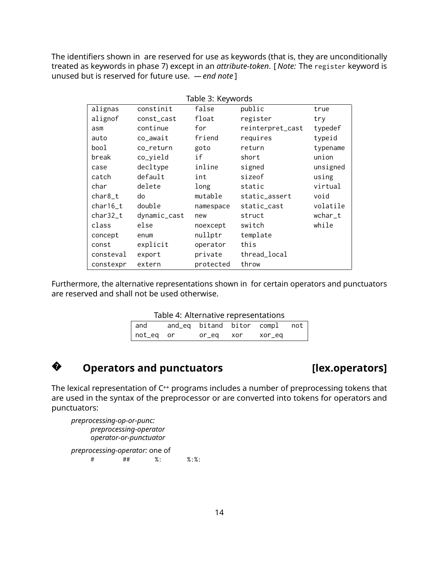The identifiers shown in are reserved for use as keywords (that is, they are unconditionally treated as keywords in phase 7) except in an *attribute-token*. [ *Note:* The register keyword is unused but is reserved for future use. *— end note* ]

| Table 3: Keywords |              |           |                  |          |  |  |
|-------------------|--------------|-----------|------------------|----------|--|--|
| alignas           | constinit    | false     | public           | true     |  |  |
| alignof           | const_cast   | float     | register         | try      |  |  |
| asm               | continue     | for       | reinterpret_cast | typedef  |  |  |
| auto              | co_await     | friend    | requires         | typeid   |  |  |
| bool              | co return    | goto      | return           | typename |  |  |
| break             | co_yield     | i f       | short            | union    |  |  |
| case              | decltype     | inline    | signed           | unsigned |  |  |
| catch             | default      | int       | sizeof           | using    |  |  |
| char              | delete       | long      | static           | virtual  |  |  |
| char8_t           | do           | mutable   | static_assert    | void     |  |  |
| char16_t          | double       | namespace | static_cast      | volatile |  |  |
| char32_t          | dynamic_cast | new       | struct           | wchar_t  |  |  |
| class             | else         | noexcept  | switch           | while    |  |  |
| concept           | enum         | nullptr   | template         |          |  |  |
| const             | explicit     | operator  | this             |          |  |  |
| consteval         | export       | private   | thread_local     |          |  |  |
| constexpr         | extern       | protected | throw            |          |  |  |

Furthermore, the alternative representations shown in for certain operators and punctuators are reserved and shall not be used otherwise.

| Table 4: Alternative representations |  |                  |  |                               |  |  |  |  |
|--------------------------------------|--|------------------|--|-------------------------------|--|--|--|--|
| and                                  |  |                  |  | and_eq bitand bitor compl not |  |  |  |  |
| not_eq or                            |  | or_eq xor xor_eq |  |                               |  |  |  |  |

# **Operators and punctuators [lex.operators]**

**?**

The lexical representation of C<sup>++</sup> programs includes a number of preprocessing tokens that are used in the syntax of the preprocessor or are converted into tokens for operators and punctuators:

*preprocessing-op-or-punc: preprocessing-operator operator-or-punctuator preprocessing-operator:* one of # ## %: %:%: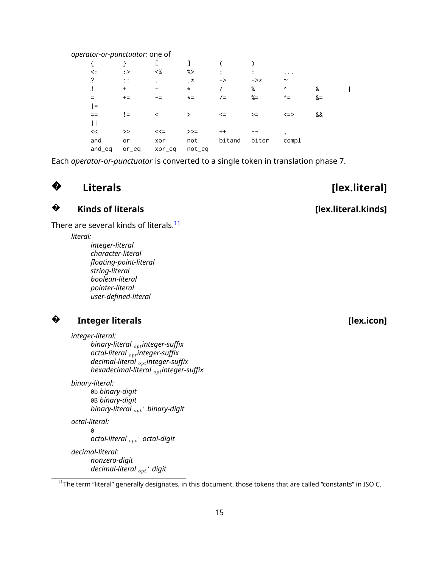### *operator-or-punctuator:* one of

| $\lt$ : | :         | $<\!\%$ | %>        |         |                    | .                     |      |  |
|---------|-----------|---------|-----------|---------|--------------------|-----------------------|------|--|
| ?       | $\vdots$  | $\cdot$ | $\cdot$ * | ->      | $\rightarrow\star$ | $\tilde{\phantom{a}}$ |      |  |
|         | $\ddot{}$ |         | $^\star$  |         | %                  | $\boldsymbol{\wedge}$ | &    |  |
|         | $+=$      |         | $\star =$ | $/ =$   | $\% =$             | $\sim -$              | $&=$ |  |
| =       |           |         |           |         |                    |                       |      |  |
|         | $=$       |         | >         | $\leq$  | $>=$               | $\leq$ $\geq$         | &&   |  |
|         |           |         |           |         |                    |                       |      |  |
| <<      | $\gt$     | $<<=$   | $>>=$     | $^{++}$ |                    | $\cdot$               |      |  |
| and     | or        | xor     | not       | bitand  | bitor              | compl                 |      |  |
| and_eq  | $or\_eq$  | xor_eq  | not_eq    |         |                    |                       |      |  |

Each *operator-or-punctuator* is converted to a single token in translation phase 7.



# **Literals [lex.literal]**

### **?Kinds of literals Kinds Exercise 2.1 <b>Constrained A** [lex.literal.kinds]

There are several kinds of literals.<sup>[11](#page-14-0)</sup>

*literal:*

*integer-literal character-literal floating-point-literal string-literal boolean-literal pointer-literal user-defined-literal*

## **?**

### **Integer literals** [lex.icon]

*integer-literal:*

*binary-literal optinteger-suffix octal-literal optinteger-suffix decimal-literal optinteger-suffix hexadecimal-literal optinteger-suffix*

*binary-literal:*

0b *binary-digit* 0B *binary-digit binary-literal opt*' *binary-digit*

*octal-literal:*

0 *octal-literal opt*' *octal-digit*

*decimal-literal: nonzero-digit decimal-literal opt*' *digit*

<span id="page-14-0"></span><sup>11</sup>The term "literal" generally designates, in this document, those tokens that are called "constants" in ISO C.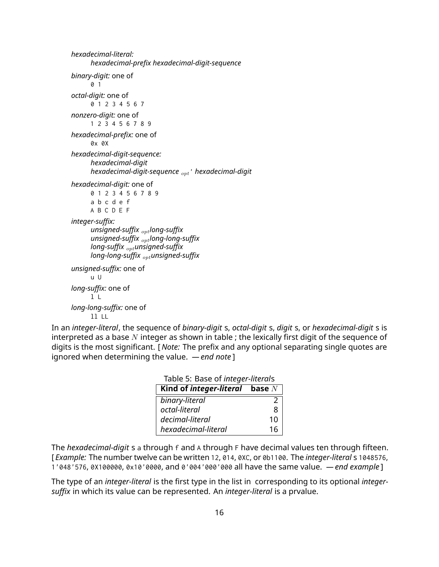```
hexadecimal-literal:
      hexadecimal-prefix hexadecimal-digit-sequence
binary-digit: one of
      0 1
octal-digit: one of
      0 1 2 3 4 5 6 7
nonzero-digit: one of
      1 2 3 4 5 6 7 8 9
hexadecimal-prefix: one of
      0x 0X
hexadecimal-digit-sequence:
      hexadecimal-digit
      hexadecimal-digit-sequence opt' hexadecimal-digit
hexadecimal-digit: one of
      0 1 2 3 4 5 6 7 8 9
      a b c d e f
      A B C D E F
integer-suffix:
      unsigned-suffix optlong-suffix
      unsigned-suffix optlong-long-suffix
      long-suffix optunsigned-suffix
      long-long-suffix optunsigned-suffix
unsigned-suffix: one of
      u U
long-suffix: one of
      l L
long-long-suffix: one of
      ll LL
```
In an *integer-literal*, the sequence of *binary-digit* s, *octal-digit* s, *digit* s, or *hexadecimal-digit* s is interpreted as a base *N* integer as shown in table ; the lexically first digit of the sequence of digits is the most significant. [ *Note:* The prefix and any optional separating single quotes are ignored when determining the value. *— end note* ]

| Kind of <i>integer-literal</i> base $N$ |    |
|-----------------------------------------|----|
| binary-literal                          |    |
| octal-literal                           | 8  |
| decimal-literal                         | 10 |
| hexadecimal-literal                     | 16 |

Table 5: Base of *integer-literal*s

The *hexadecimal-digit* s a through f and A through F have decimal values ten through fifteen. [ *Example:* The number twelve can be written 12, 014, 0XC, or 0b1100. The *integer-literal* s 1048576, 1'048'576, 0X100000, 0x10'0000, and 0'004'000'000 all have the same value. *— end example* ]

The type of an *integer-literal* is the first type in the list in corresponding to its optional *integersuffix* in which its value can be represented. An *integer-literal* is a prvalue.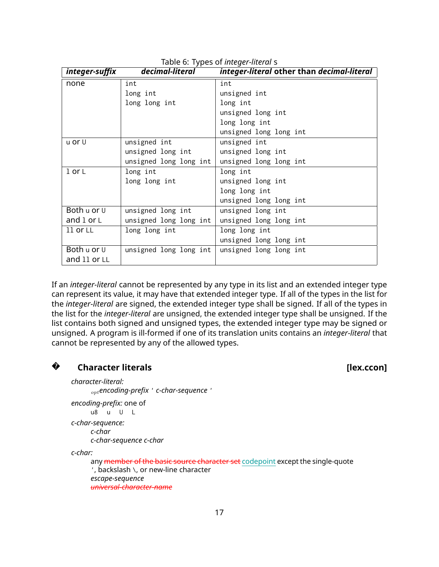| integer-suffix | decimal-literal        | integer-literal other than decimal-literal |
|----------------|------------------------|--------------------------------------------|
| none           | int                    | int                                        |
|                | long int               | unsigned int                               |
|                | long long int          | long int                                   |
|                |                        | unsigned long int                          |
|                |                        | long long int                              |
|                |                        | unsigned long long int                     |
| u or U         | unsigned int           | unsigned int                               |
|                | unsigned long int      | unsigned long int                          |
|                | unsigned long long int | unsigned long long int                     |
| $1$ or $L$     | long int               | long int                                   |
|                | long long int          | unsigned long int                          |
|                |                        | long long int                              |
|                |                        | unsigned long long int                     |
| Both u or U    | unsigned long int      | unsigned long int                          |
| and $l$ or $L$ | unsigned long long int | unsigned long long int                     |
| 11 or LL       | long long int          | long long int                              |
|                |                        | unsigned long long int                     |
| Both u or U    | unsigned long long int | unsigned long long int                     |
| and 11 or LL   |                        |                                            |

Table 6: Types of *integer-literal* s

If an *integer-literal* cannot be represented by any type in its list and an extended integer type can represent its value, it may have that extended integer type. If all of the types in the list for the *integer-literal* are signed, the extended integer type shall be signed. If all of the types in the list for the *integer-literal* are unsigned, the extended integer type shall be unsigned. If the list contains both signed and unsigned types, the extended integer type may be signed or unsigned. A program is ill-formed if one of its translation units contains an *integer-literal* that cannot be represented by any of the allowed types.

## **?**

## **Character literals [lex.ccon]**

*character-literal: optencoding-prefix* ' *c-char-sequence* '

*encoding-prefix:* one of u8 u U L *c-char-sequence: c-char*

*c-char-sequence c-char*

### *c-char:*

any member of the basic source character set codepoint except the single-quote ', backslash \, or new-line character *escape-sequence universal-character-name*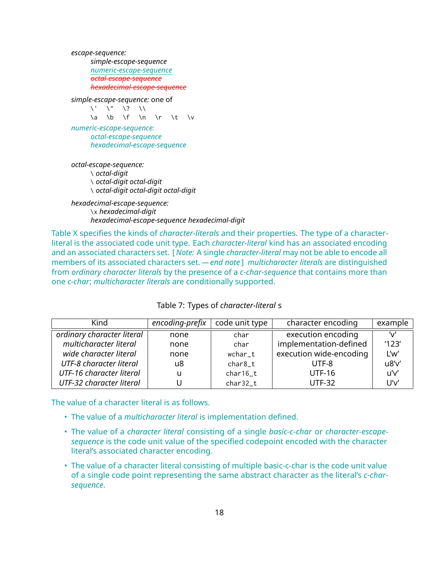*escape-sequence: simple-escape-sequence numeric-escape-sequence octal-escape-sequence hexadecimal-escape-sequence*

*simple-escape-sequence:* one of

 $\setminus'$   $\setminus''$   $\setminus?$   $\setminus\setminus$ \a \b \f \n \r \t \v

*numeric-escape-sequence: octal-escape-sequence hexadecimal-escape-sequence*

*octal-escape-sequence:* \ *octal-digit* \ *octal-digit octal-digit* \ *octal-digit octal-digit octal-digit*

*hexadecimal-escape-sequence:* \x *hexadecimal-digit hexadecimal-escape-sequence hexadecimal-digit*

Table X specifies the kinds of *character-literals* and their properties. The type of a characterliteral is the associated code unit type. Each *character-literal* kind has an associated encoding and an associated characters set. [ *Note:* A single *character-literal* may not be able to encode all members of its associated characters set. *— end note* ] *multicharacter literals* are distinguished from *ordinary character literals* by the presence of a *c-char-sequence* that contains more than one *c-char*; *multicharacter literals* are conditionally supported.

| Kind                       | $encoding-prefix$ | code unit type | character encoding      | example |
|----------------------------|-------------------|----------------|-------------------------|---------|
| ordinary character literal | none              | char           | execution encoding      |         |
| multicharacter literal     | none              | char           | implementation-defined  | '123'   |
| wide character literal     | none              | wchar_t        | execution wide-encoding | L'w'    |
| UTF-8 character literal    | u8                | char8_t        | UTF-8                   | u8'v'   |
| UTF-16 character literal   | u                 | char16_t       | <b>UTF-16</b>           | u'v'    |
| UTF-32 character literal   |                   | char32_t       | <b>UTF-32</b>           | U'v'    |

Table 7: Types of *character-literal* s

The value of a character literal is as follows.

- The value of a *multicharacter literal* is implementation defined.
- The value of a *character literal* consisting of a single *basic-c-char* or *character-escapesequence* is the code unit value of the specified codepoint encoded with the character literal's associated character encoding.
- The value of a character literal consisting of multiple basic-c-char is the code unit value of a single code point representing the same abstract character as the literal's *c-charsequence*.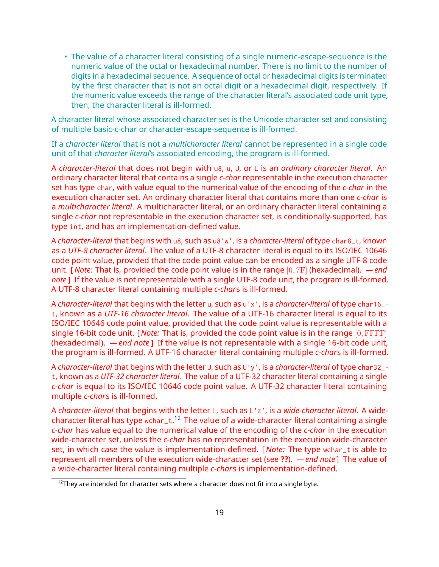• The value of a character literal consisting of a single numeric-escape-sequence is the numeric value of the octal or hexadecimal number. There is no limit to the number of digits in a hexadecimal sequence. A sequence of octal or hexadecimal digits is terminated by the first character that is not an octal digit or a hexadecimal digit, respectively. If the numeric value exceeds the range of the character literal's associated code unit type, then, the character literal is ill-formed.

A character literal whose associated character set is the Unicode character set and consisting of multiple basic-c-char or character-escape-sequence is ill-formed.

If a *character literal* that is not a *multicharacter literal* cannot be represented in a single code unit of that *character literal*'s associated encoding, the program is ill-formed.

A *character-literal* that does not begin with u8, u, U, or L is an *ordinary character literal*. An ordinary character literal that contains a single *c-char* representable in the execution character set has type char, with value equal to the numerical value of the encoding of the *c-char* in the execution character set. An ordinary character literal that contains more than one *c-char* is a *multicharacter literal*. A multicharacter literal, or an ordinary character literal containing a single *c-char* not representable in the execution character set, is conditionally-supported, has type int, and has an implementation-defined value.

A *character-literal* that begins with u8, such as u8'w', is a *character-literal* of type char8\_t, known as a *UTF-8 character literal*. The value of a UTF-8 character literal is equal to its ISO/IEC 10646 code point value, provided that the code point value can be encoded as a single UTF-8 code unit. [ *Note:* That is, provided the code point value is in the range [0*,* 7F] (hexadecimal). *— end note* ] If the value is not representable with a single UTF-8 code unit, the program is ill-formed. A UTF-8 character literal containing multiple *c-char*s is ill-formed.

A *character-literal* that begins with the letter u, such as u'x', is a *character-literal* of type char16\_ t, known as a *UTF-16 character literal*. The value of a UTF-16 character literal is equal to its ISO/IEC 10646 code point value, provided that the code point value is representable with a single 16-bit code unit. [ *Note:* That is, provided the code point value is in the range [0*,* FFFF] (hexadecimal). *— end note* ] If the value is not representable with a single 16-bit code unit, the program is ill-formed. A UTF-16 character literal containing multiple *c-char*s is ill-formed.

A *character-literal* that begins with the letter U, such as U'y', is a *character-literal* of type char32\_ t, known as a *UTF-32 character literal*. The value of a UTF-32 character literal containing a single *c-char* is equal to its ISO/IEC 10646 code point value. A UTF-32 character literal containing multiple *c-char*s is ill-formed.

A *character-literal* that begins with the letter L, such as L'z', is a *wide-character literal*. A wide-character literal has type wchar\_t.<sup>[12](#page-18-0)</sup> The value of a wide-character literal containing a single *c-char* has value equal to the numerical value of the encoding of the *c-char* in the execution wide-character set, unless the *c-char* has no representation in the execution wide-character set, in which case the value is implementation-defined. [ *Note:* The type wchar\_t is able to represent all members of the execution wide-character set (see **??**). *— end note* ] The value of a wide-character literal containing multiple *c-char*s is implementation-defined.

<span id="page-18-0"></span> $12$ They are intended for character sets where a character does not fit into a single byte.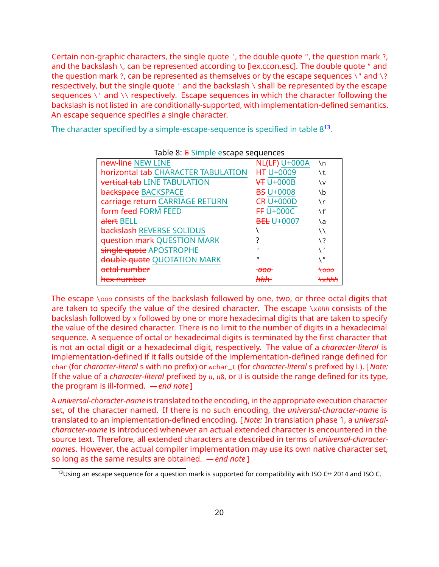Certain non-graphic characters, the single quote ', the double quote ", the question mark ?, and the backslash \, can be represented according to [lex.ccon.esc]. The double quote " and the question mark ?, can be represented as themselves or by the escape sequences \" and \? respectively, but the single quote ' and the backslash \ shall be represented by the escape sequences \' and \\ respectively. Escape sequences in which the character following the backslash is not listed in are conditionally-supported, with implementation-defined semantics. An escape sequence specifies a single character.

The character specified by a simple-escape-sequence is specified in table  $8^{13}.$  $8^{13}.$  $8^{13}.$ 

| Table of E Simple escape sequences  |                      |               |  |  |  |  |
|-------------------------------------|----------------------|---------------|--|--|--|--|
| new-line NEW LINE                   | <b>NL(LF)</b> U+000A | $\n\vee$ n    |  |  |  |  |
| horizontal tab CHARACTER TABULATION | <b>HT U+0009</b>     | ١t            |  |  |  |  |
| <b>vertical tab LINE TABULATION</b> | <b>VT U+000B</b>     | ۱v            |  |  |  |  |
| backspace BACKSPACE                 | <b>BS</b> U+0008     | ١b            |  |  |  |  |
| carriage return CARRIAGE RETURN     | <b>CR U+000D</b>     | ۱r            |  |  |  |  |
| form feed FORM FEED                 | <b>FF U+000C</b>     | $\setminus f$ |  |  |  |  |
| alert BELL                          | <b>BEL U+0007</b>    | ۱a            |  |  |  |  |
| backslash REVERSE SOLIDUS           |                      | ۱۱            |  |  |  |  |
| question mark QUESTION MARK         |                      | $\sqrt{2}$    |  |  |  |  |
| single quote APOSTROPHE             |                      | $\sqrt{ }$    |  |  |  |  |
| double quote QUOTATION MARK         | $\mathbf{r}$         | \ "           |  |  |  |  |
| octal number                        | <del>-000 -</del>    | $\lambda$ 000 |  |  |  |  |
| hex number                          | hhh                  | $\star$ hhh   |  |  |  |  |

Table 8: E Simple escape sequences

The escape \ooo consists of the backslash followed by one, two, or three octal digits that are taken to specify the value of the desired character. The escape \xhhh consists of the backslash followed by x followed by one or more hexadecimal digits that are taken to specify the value of the desired character. There is no limit to the number of digits in a hexadecimal sequence. A sequence of octal or hexadecimal digits is terminated by the first character that is not an octal digit or a hexadecimal digit, respectively. The value of a *character-literal* is implementation-defined if it falls outside of the implementation-defined range defined for char (for *character-literal* s with no prefix) or wchar\_t (for *character-literal* s prefixed by L). [ *Note:* If the value of a *character-literal* prefixed by u, u8, or U is outside the range defined for its type, the program is ill-formed. *— end note* ]

A *universal-character-name* is translated to the encoding, in the appropriate execution character set, of the character named. If there is no such encoding, the *universal-character-name* is translated to an implementation-defined encoding. [ *Note:* In translation phase 1, a *universalcharacter-name* is introduced whenever an actual extended character is encountered in the source text. Therefore, all extended characters are described in terms of *universal-charactername*s. However, the actual compiler implementation may use its own native character set, so long as the same results are obtained. *— end note* ]

<span id="page-19-0"></span><sup>&</sup>lt;sup>13</sup>Using an escape sequence for a question mark is supported for compatibility with ISO C<sup>++</sup> 2014 and ISO C.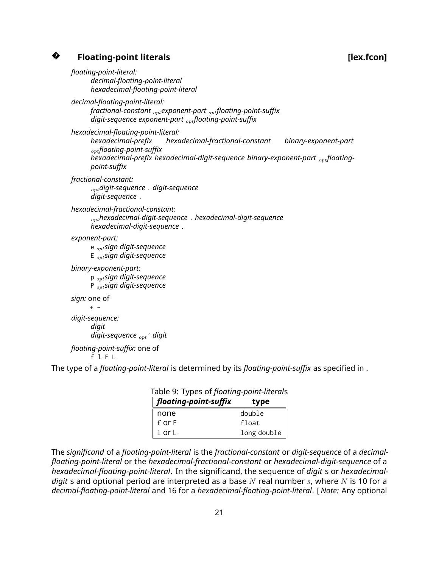### **?**Floating-point literals **Executive Executive Conducts** [lex.fcon]

```
floating-point-literal:
      decimal-floating-point-literal
      hexadecimal-floating-point-literal
decimal-floating-point-literal:
      fractional-constant optexponent-part optfloating-point-suffix
      digit-sequence exponent-part optfloating-point-suffix
hexadecimal-floating-point-literal:
      hexadecimal-prefix hexadecimal-fractional-constant binary-exponent-part
      optfloating-point-suffix
      hexadecimal-prefix hexadecimal-digit-sequence binary-exponent-part optfloating-
      point-suffix
fractional-constant:
      optdigit-sequence . digit-sequence
      digit-sequence .
hexadecimal-fractional-constant:
      opthexadecimal-digit-sequence . hexadecimal-digit-sequence
      hexadecimal-digit-sequence .
exponent-part:
      e optsign digit-sequence
      E optsign digit-sequence
binary-exponent-part:
      p optsign digit-sequence
      P optsign digit-sequence
sign: one of
      + -
digit-sequence:
      digit
      digit-sequence opt' digit
floating-point-suffix: one of
      f l F L
```
The type of a *floating-point-literal* is determined by its *floating-point-suffix* as specified in .

| $\vert$ floating-point-suffix | type        |
|-------------------------------|-------------|
| none                          | double      |
| f or $F$                      | float       |
| lorl                          | long double |

Table 9: Types of *floating-point-literal*s

The *significand* of a *floating-point-literal* is the *fractional-constant* or *digit-sequence* of a *decimalfloating-point-literal* or the *hexadecimal-fractional-constant* or *hexadecimal-digit-sequence* of a *hexadecimal-floating-point-literal*. In the significand, the sequence of *digit* s or *hexadecimaldigit* s and optional period are interpreted as a base *N* real number *s*, where *N* is 10 for a *decimal-floating-point-literal* and 16 for a *hexadecimal-floating-point-literal*. [ *Note:* Any optional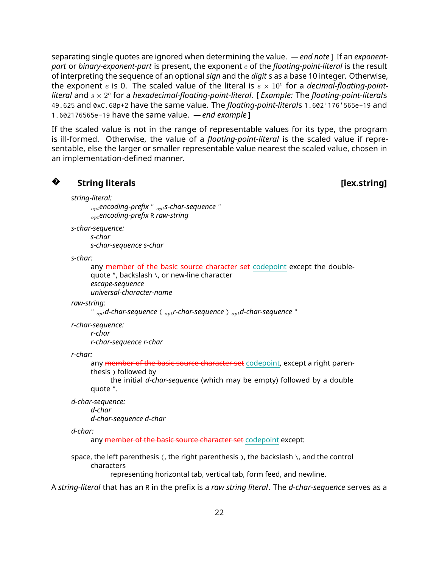separating single quotes are ignored when determining the value. *— end note* ] If an *exponentpart* or *binary-exponent-part* is present, the exponent *e* of the *floating-point-literal* is the result of interpreting the sequence of an optional *sign* and the *digit* s as a base 10 integer. Otherwise, the exponent  $e$  is 0. The scaled value of the literal is  $s \times 10^e$  for a *decimal-floating-pointliteral* and *s* × 2 *e* for a *hexadecimal-floating-point-literal*. [ *Example:* The *floating-point-literal*s 49.625 and 0xC.68p+2 have the same value. The *floating-point-literal*s 1.602'176'565e-19 and 1.602176565e-19 have the same value. *— end example* ]

If the scaled value is not in the range of representable values for its type, the program is ill-formed. Otherwise, the value of a *floating-point-literal* is the scaled value if representable, else the larger or smaller representable value nearest the scaled value, chosen in an implementation-defined manner.

### **?**

**String literals contract to the contract of the contract of the contract of the contract of the contract of the contract of the contract of the contract of the contract of the contract of the contract of the contract of** 

*string-literal:*

*optencoding-prefix* " *opts-char-sequence* " *optencoding-prefix* R *raw-string*

*s-char-sequence:*

*s-char s-char-sequence s-char*

*s-char:*

any member of the basic source character set codepoint except the doublequote ", backslash \, or new-line character *escape-sequence universal-character-name*

*raw-string:*

" *optd-char-sequence* ( *optr-char-sequence* ) *optd-char-sequence* "

*r-char-sequence:*

*r-char*

*r-char-sequence r-char*

*r-char:*

any member of the basic source character set codepoint, except a right parenthesis ) followed by

the initial *d-char-sequence* (which may be empty) followed by a double quote ".

*d-char-sequence: d-char d-char-sequence d-char*

*d-char:*

any member of the basic source character set codepoint except:

space, the left parenthesis (, the right parenthesis), the backslash \, and the control characters

representing horizontal tab, vertical tab, form feed, and newline.

A *string-literal* that has an R in the prefix is a *raw string literal*. The *d-char-sequence* serves as a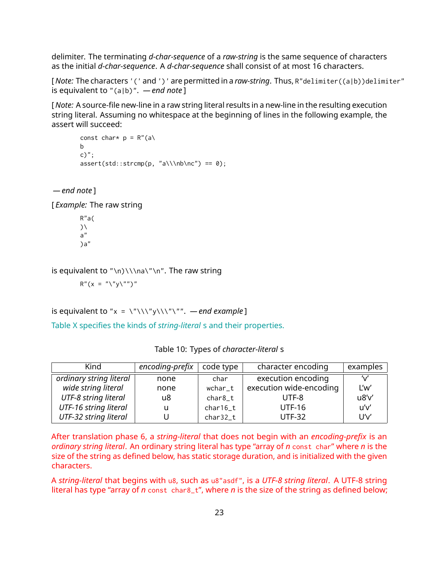delimiter. The terminating *d-char-sequence* of a *raw-string* is the same sequence of characters as the initial *d-char-sequence*. A *d-char-sequence* shall consist of at most 16 characters.

[*Note:* The characters '(' and ')' are permitted in a *raw-string*. Thus, R"delimiter((a|b))delimiter" is equivalent to "(a|b)". *— end note* ]

[ *Note:* A source-file new-line in a raw string literal results in a new-line in the resulting execution string literal. Assuming no whitespace at the beginning of lines in the following example, the assert will succeed:

```
const char* p = R''(a)b
c)";
assert(std::strcmp(p, "a\\\nb\nc") == 0);
```
*— end note* ]

[ *Example:* The raw string

R"a(  $\lambda$ a" )a"

is equivalent to "\n)\\\na\"\n". The raw string

$$
R''(x = "\\ 'y\\ '''')''
$$

is equivalent to " $x = \langle \langle \langle \cdot \rangle \rangle \langle \langle \cdot \rangle \rangle \langle \cdot \rangle \langle \cdot \rangle \langle \cdot \rangle$ ". — *end example* ]

Table X specifies the kinds of *string-literal* s and their properties.

| Kind                         | encoding-prefix $\vert$ code type |          | character encoding      | examples          |
|------------------------------|-----------------------------------|----------|-------------------------|-------------------|
| ordinary string literal      | none                              | char     | execution encoding      | $^{\prime\prime}$ |
| wide string literal          | none                              | wchar_t  | execution wide-encoding | L'w'              |
| UTF-8 string literal         | u8                                | char8_t  | UTF-8                   | u8'v'             |
| <b>UTF-16 string literal</b> |                                   | char16_t | <b>UTF-16</b>           | u'v'              |
| UTF-32 string literal        |                                   | char32_t | <b>UTF-32</b>           | U'v'              |

Table 10: Types of *character-literal* s

After translation phase 6, a *string-literal* that does not begin with an *encoding-prefix* is an *ordinary string literal*. An ordinary string literal has type "array of *n* const char" where *n* is the size of the string as defined below, has static storage duration, and is initialized with the given characters.

A *string-literal* that begins with u8, such as u8"asdf", is a *UTF-8 string literal*. A UTF-8 string literal has type "array of *n* const char8\_t", where *n* is the size of the string as defined below;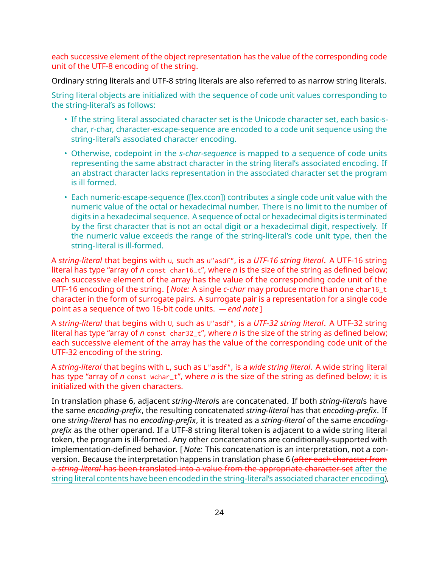each successive element of the object representation has the value of the corresponding code unit of the UTF-8 encoding of the string.

Ordinary string literals and UTF-8 string literals are also referred to as narrow string literals.

String literal objects are initialized with the sequence of code unit values corresponding to the string-literal's as follows:

- If the string literal associated character set is the Unicode character set, each basic-schar, r-char, character-escape-sequence are encoded to a code unit sequence using the string-literal's associated character encoding.
- Otherwise, codepoint in the *s-char-sequence* is mapped to a sequence of code units representing the same abstract character in the string literal's associated encoding. If an abstract character lacks representation in the associated character set the program is ill formed.
- Each numeric-escape-sequence ([lex.ccon]) contributes a single code unit value with the numeric value of the octal or hexadecimal number. There is no limit to the number of digits in a hexadecimal sequence. A sequence of octal or hexadecimal digits is terminated by the first character that is not an octal digit or a hexadecimal digit, respectively. If the numeric value exceeds the range of the string-literal's code unit type, then the string-literal is ill-formed.

A *string-literal* that begins with u, such as u"asdf", is a *UTF-16 string literal*. A UTF-16 string literal has type "array of *n* const char16\_t", where *n* is the size of the string as defined below; each successive element of the array has the value of the corresponding code unit of the UTF-16 encoding of the string. [ *Note:* A single *c-char* may produce more than one char16\_t character in the form of surrogate pairs. A surrogate pair is a representation for a single code point as a sequence of two 16-bit code units. *— end note* ]

A *string-literal* that begins with U, such as U"asdf", is a *UTF-32 string literal*. A UTF-32 string literal has type "array of *n* const char32\_t", where *n* is the size of the string as defined below; each successive element of the array has the value of the corresponding code unit of the UTF-32 encoding of the string.

A *string-literal* that begins with L, such as L"asdf", is a *wide string literal*. A wide string literal has type "array of *n* const wchar\_t", where *n* is the size of the string as defined below; it is initialized with the given characters.

In translation phase 6, adjacent *string-literal*s are concatenated. If both *string-literal*s have the same *encoding-prefix*, the resulting concatenated *string-literal* has that *encoding-prefix*. If one *string-literal* has no *encoding-prefix*, it is treated as a *string-literal* of the same *encodingprefix* as the other operand. If a UTF-8 string literal token is adjacent to a wide string literal token, the program is ill-formed. Any other concatenations are conditionally-supported with implementation-defined behavior. [ *Note:* This concatenation is an interpretation, not a conversion. Because the interpretation happens in translation phase 6 (after each character from a *string-literal* has been translated into a value from the appropriate character set after the string literal contents have been encoded in the string-literal's associated character encoding),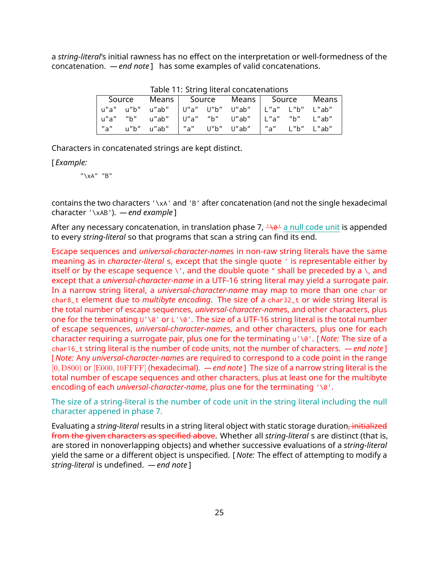a *string-literal*'s initial rawness has no effect on the interpretation or well-formedness of the concatenation. *— end note* ] has some examples of valid concatenations.

| Source | Means          |  | Source Means                                        | Source | Means                  |
|--------|----------------|--|-----------------------------------------------------|--------|------------------------|
|        |                |  | u"a" u"b" u"ab"   U"a" U"b" U"ab"   L"a" L"b" L"ab" |        |                        |
| ' u"a" | "b" u"ab"      |  | U"a" "b" U"ab"                                      |        | $\vert$ L"a" "b" L"ab" |
|        | "a" u"b" u"ab" |  | "a" U"b" U"ab"                                      |        | "a" L"b" L"ab"         |

Table 11: String literal concatenations

Characters in concatenated strings are kept distinct.

### [ *Example:*

"\xA" "B"

contains the two characters '\xA' and 'B' after concatenation (and not the single hexadecimal character '\xAB'). *— end example* ]

After any necessary concatenation, in translation phase  $7, \frac{1}{9}$  a null code unit is appended to every *string-literal* so that programs that scan a string can find its end.

Escape sequences and *universal-character-name*s in non-raw string literals have the same meaning as in *character-literal* s, except that the single quote ' is representable either by itself or by the escape sequence \', and the double quote " shall be preceded by a \, and except that a *universal-character-name* in a UTF-16 string literal may yield a surrogate pair. In a narrow string literal, a *universal-character-name* may map to more than one char or char8\_t element due to *multibyte encoding*. The size of a char32\_t or wide string literal is the total number of escape sequences, *universal-character-name*s, and other characters, plus one for the terminating U'\0' or L'\0'. The size of a UTF-16 string literal is the total number of escape sequences, *universal-character-name*s, and other characters, plus one for each character requiring a surrogate pair, plus one for the terminating u'\0'. [ *Note:* The size of a char16\_t string literal is the number of code units, not the number of characters. *— end note* ] [ *Note:* Any *universal-character-name*s are required to correspond to a code point in the range [0*,* D800) or [E000*,* 10FFFF] (hexadecimal). *— end note* ] The size of a narrow string literal is the total number of escape sequences and other characters, plus at least one for the multibyte encoding of each *universal-character-name*, plus one for the terminating '\0'.

The size of a string-literal is the number of code unit in the string literal including the null character appened in phase 7.

Evaluating a *string-literal* results in a string literal object with static storage duration, initialized from the given characters as specified above. Whether all *string-literal* s are distinct (that is, are stored in nonoverlapping objects) and whether successive evaluations of a *string-literal* yield the same or a different object is unspecified. [ *Note:* The effect of attempting to modify a *string-literal* is undefined. *— end note* ]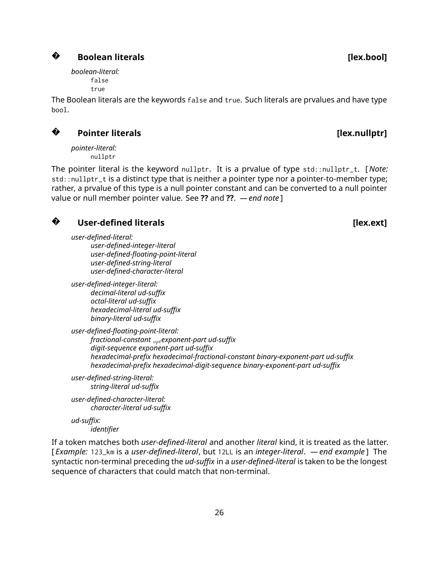## **Boolean literals contract the contract of the contract of the contract of the contract of the contract of the contract of the contract of the contract of the contract of the contract of the contract of the contract of t**

*boolean-literal:* false true

**?**

**?**

**?**

The Boolean literals are the keywords false and true. Such literals are prvalues and have type bool.

**Pointer literals Constanting Constanting (Section 2) Pointer literals Constanting (I)** 

*pointer-literal:* nullptr

The pointer literal is the keyword nullptr. It is a prvalue of type std::nullptr\_t. [ *Note:* std::nullptr\_t is a distinct type that is neither a pointer type nor a pointer-to-member type; rather, a prvalue of this type is a null pointer constant and can be converted to a null pointer value or null member pointer value. See **??** and **??**. *— end note* ]

*user-defined-literal:*

*user-defined-integer-literal user-defined-floating-point-literal user-defined-string-literal user-defined-character-literal*

*user-defined-integer-literal: decimal-literal ud-suffix octal-literal ud-suffix hexadecimal-literal ud-suffix binary-literal ud-suffix*

*user-defined-floating-point-literal: fractional-constant optexponent-part ud-suffix digit-sequence exponent-part ud-suffix hexadecimal-prefix hexadecimal-fractional-constant binary-exponent-part ud-suffix hexadecimal-prefix hexadecimal-digit-sequence binary-exponent-part ud-suffix*

*user-defined-string-literal: string-literal ud-suffix*

*user-defined-character-literal: character-literal ud-suffix*

*ud-suffix: identifier*

If a token matches both *user-defined-literal* and another *literal* kind, it is treated as the latter. [ *Example:* 123\_km is a *user-defined-literal*, but 12LL is an *integer-literal*. *— end example* ] The syntactic non-terminal preceding the *ud-suffix* in a *user-defined-literal* is taken to be the longest sequence of characters that could match that non-terminal.

User-defined literals **and the set of the set of the set of the set of the set of the set of the set of the set o**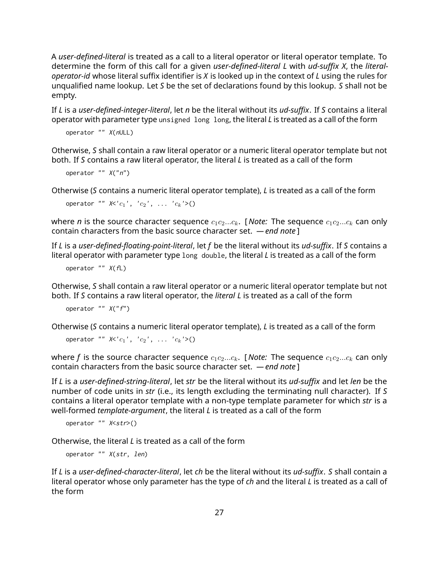A *user-defined-literal* is treated as a call to a literal operator or literal operator template. To determine the form of this call for a given *user-defined-literal L* with *ud-suffix X*, the *literaloperator-id* whose literal suffix identifier is *X* is looked up in the context of *L* using the rules for unqualified name lookup. Let *S* be the set of declarations found by this lookup. *S* shall not be empty.

If *L* is a *user-defined-integer-literal*, let *n* be the literal without its *ud-suffix*. If *S* contains a literal operator with parameter type unsigned long long, the literal *L* is treated as a call of the form

```
operator "" X(nULL)
```
Otherwise, *S* shall contain a raw literal operator or a numeric literal operator template but not both. If *S* contains a raw literal operator, the literal *L* is treated as a call of the form

```
operator " " X("n")
```
Otherwise (*S* contains a numeric literal operator template), *L* is treated as a call of the form

```
operator "" X < c_1', 'c_2', ... 'c_k' > ()
```
where *n* is the source character sequence  $c_1c_2...c_k$ . [Note: The sequence  $c_1c_2...c_k$  can only contain characters from the basic source character set. *— end note* ]

If *L* is a *user-defined-floating-point-literal*, let *f* be the literal without its *ud-suffix*. If *S* contains a literal operator with parameter type long double, the literal *L* is treated as a call of the form

```
operator " " X(fL)
```
Otherwise, *S* shall contain a raw literal operator or a numeric literal operator template but not both. If *S* contains a raw literal operator, the *literal L* is treated as a call of the form

```
operator " " X("f")
```
Otherwise (*S* contains a numeric literal operator template), *L* is treated as a call of the form

```
operator "" X \leq c_1', 'c_2', ... 'c_k'>()
```
where f is the source character sequence  $c_1c_2...c_k$ . [Note: The sequence  $c_1c_2...c_k$  can only contain characters from the basic source character set. *— end note* ]

If *L* is a *user-defined-string-literal*, let *str* be the literal without its *ud-suffix* and let *len* be the number of code units in *str* (i.e., its length excluding the terminating null character). If *S* contains a literal operator template with a non-type template parameter for which *str* is a well-formed *template-argument*, the literal *L* is treated as a call of the form

```
operator "" X<str>()
```
Otherwise, the literal *L* is treated as a call of the form

operator "" <sup>X</sup>(str, len)

If *L* is a *user-defined-character-literal*, let *ch* be the literal without its *ud-suffix*. *S* shall contain a literal operator whose only parameter has the type of *ch* and the literal *L* is treated as a call of the form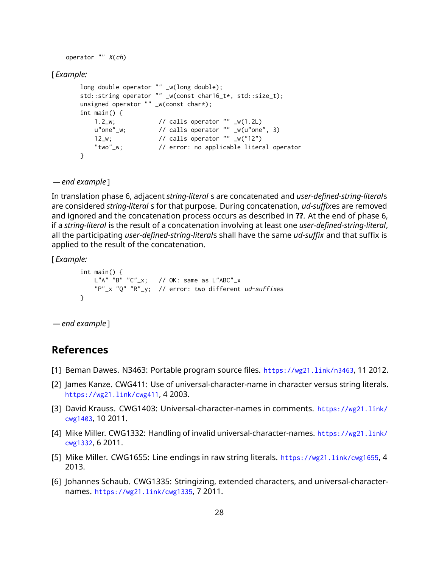```
operator "" X(ch)
```
### [ *Example:*

```
long double operator "" _w(long double);
std::string operator "" _w(const char16_t*, std::size_t);
unsigned operator "" _w(const char*);
int main() {
   1.2_w; // calls operator "" _w(1.2L)
   u"one"_{w}; // calls operator "" _w(u"one", 3)12_w; // calls operator "" _w("12")
   "two"_w; // error: no applicable literal operator
}
```

```
— end example ]
```
In translation phase 6, adjacent *string-literal* s are concatenated and *user-defined-string-literal*s are considered *string-literal* s for that purpose. During concatenation, *ud-suffix*es are removed and ignored and the concatenation process occurs as described in **??**. At the end of phase 6, if a *string-literal* is the result of a concatenation involving at least one *user-defined-string-literal*, all the participating *user-defined-string-literal*s shall have the same *ud-suffix* and that suffix is applied to the result of the concatenation.

[ *Example:*

```
int main() {
   L"A" "B" "C"_{X}; // OK: same as L"ABC"_{X}"P"_x "Q" "R"_y; // error: two different ud-suffixes
}
```
*— end example* ]

## **References**

- <span id="page-27-0"></span>[1] Beman Dawes. N3463: Portable program source files. <https://wg21.link/n3463>, 11 2012.
- <span id="page-27-5"></span>[2] James Kanze. CWG411: Use of universal-character-name in character versus string literals. <https://wg21.link/cwg411>, 4 2003.
- <span id="page-27-4"></span>[3] David Krauss. CWG1403: Universal-character-names in comments. [https://wg21.link/](https://wg21.link/cwg1403) [cwg1403](https://wg21.link/cwg1403), 10 2011.
- <span id="page-27-1"></span>[4] Mike Miller. CWG1332: Handling of invalid universal-character-names. [https://wg21.link/](https://wg21.link/cwg1332) [cwg1332](https://wg21.link/cwg1332), 6 2011.
- <span id="page-27-2"></span>[5] Mike Miller. CWG1655: Line endings in raw string literals. <https://wg21.link/cwg1655>, 4 2013.
- <span id="page-27-3"></span>[6] Johannes Schaub. CWG1335: Stringizing, extended characters, and universal-characternames. <https://wg21.link/cwg1335>, 7 2011.